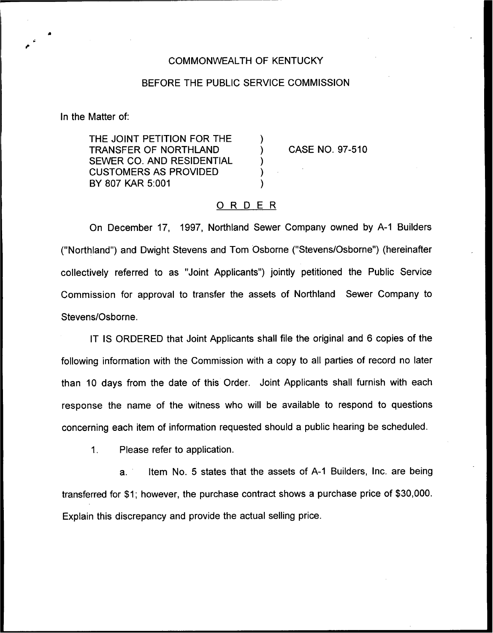## COMMONWEALTH OF KENTUCKY

## BEFORE THE PUBLIC SERVICE COMMISSION

)

) ) )

In the Matter of:

THE JOINT PETITION FOR THE TRANSFER OF NORTHLAND SEWER CO. AND RESIDENTIAL CUSTOMERS AS PROVIDED BY 807 KAR 5:001

) CASE NO. 97-510

## ORDER

On December 17, 1997, Northland Sewer Company owned by A-1 Builders ("Northland") and Dwight Stevens and Tom Osborne ("Stevens/Osborne") (hereinafter collectively referred to as "Joint Applicants") jointly petitioned the Public Service Commission for approval to transfer the assets of Northland Sewer Company to Stevens/Osborne.

IT IS ORDERED that Joint Applicants shall file the original and 6 copies of the following information with the Commission with a copy to all parties of record no later than 10 days from the date of this Order. Joint Applicants shall furnish with each response the name of the witness who will be available to respond to questions concerning each item of information requested should a public hearing be scheduled.

 $\mathbf{1}$ . Please refer to application.

a. item No. 5 states that the assets of A-1 Builders, Inc. are being transferred for \$1; however, the purchase contract shows a purchase price of \$30,000. Explain this discrepancy and provide the actual selling price.